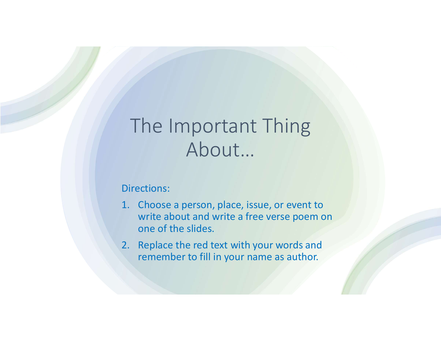# The Important Thing About… The Important Thing<br>About...<br>Directions:<br>1. Choose a person, place, issue, or event to<br>write about and write a free verse poem on<br>one of the slides.<br>2. Replace the red text with your words and The Important Thing<br>About...<br>Directions:<br>1. Choose a person, place, issue, or event to<br>write about and write a free verse poem on<br>one of the slides.<br>2. Replace the red text with your words and<br>remember to fill in your name

### Directions:

- write about and write a free verse poem on one of the slides.
- remember to fill in your name as author.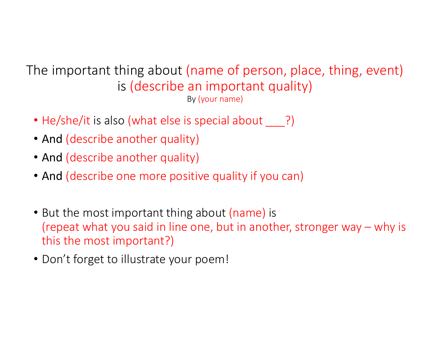The important thing about (name of person, place, thing, event) is (describe an important quality) By (your name)

- He/she/it is also (what else is special about \_\_\_?)
- And (describe another quality)
- And (describe another quality)
- And (describe one more positive quality if you can)
- But the most important thing about (name) is (repeat what else is special about  $\frac{By}{(vour name)}$ )<br>
And (describe another quality)<br>
And (describe another quality)<br>
And (describe one more positive quality if you can)<br>
But the most important thing about (name) is<br>
(repeat this the most important?) • He/she/it is also (what else is spectral about  $\_\_$ !)<br>• And (describe another quality)<br>• And (describe one more positive quality if you can)<br>• But the most important thing about (name) is<br>(repeat what you said in line
-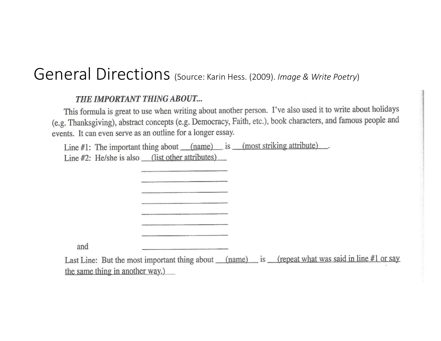## General Directions (Source: Karin Hess. (2009). Image & Write Poetry)

#### THE IMPORTANT THING ABOUT...

This formula is great to use when writing about another person. I've also used it to write about holidays (e.g. Thanksgiving), abstract concepts (e.g. Democracy, Faith, etc.), book characters, and famous people and events. It can even serve as an outline for a longer essay.

Line  $#1$ : The important thing about  $(name)$  is  $(most)$  striking attribute). Line #2: He/she is also (list other attributes)

and

Last Line: But the most important thing about (name) is (repeat what was said in line #1 or say the same thing in another way.)